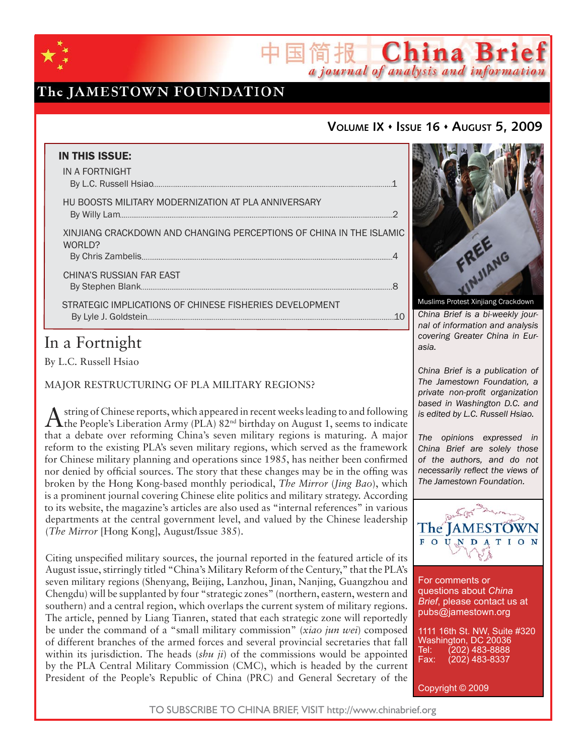

# The JAMESTOWN FOUNDATION

## **VOLUME IX ISSUE 16 AUGUST 5, 2009**

国简报 China Brief

a journal of analysis and information

| <b>IN THIS ISSUE:</b><br>IN A FORTNIGHT                                       |    |
|-------------------------------------------------------------------------------|----|
| HU BOOSTS MILITARY MODERNIZATION AT PLA ANNIVERSARY                           |    |
| XINJIANG CRACKDOWN AND CHANGING PERCEPTIONS OF CHINA IN THE ISLAMIC<br>WORLD? |    |
| CHINA'S RUSSIAN FAR EAST                                                      |    |
| STRATEGIC IMPLICATIONS OF CHINESE FISHERIES DEVELOPMENT                       | 10 |

# In a Fortnight

By L.C. Russell Hsiao

MAJOR RESTRUCTURING OF PLA MILITARY REGIONS?

 $\Lambda$  string of Chinese reports, which appeared in recent weeks leading to and following the People's Liberation Army (PLA)  $82^{\text{nd}}$  birthday on August 1, seems to indicate that a debate over reforming China's seven military regions is maturing. A major reform to the existing PLA's seven military regions, which served as the framework for Chinese military planning and operations since 1985, has neither been confirmed nor denied by official sources. The story that these changes may be in the offing was broken by the Hong Kong-based monthly periodical, *The Mirror* (*Jing Bao*), which is a prominent journal covering Chinese elite politics and military strategy. According to its website, the magazine's articles are also used as "internal references" in various departments at the central government level, and valued by the Chinese leadership (*The Mirror* [Hong Kong], August/Issue 385).

Citing unspecified military sources, the journal reported in the featured article of its August issue, stirringly titled "China's Military Reform of the Century," that the PLA's seven military regions (Shenyang, Beijing, Lanzhou, Jinan, Nanjing, Guangzhou and Chengdu) will be supplanted by four "strategic zones" (northern, eastern, western and southern) and a central region, which overlaps the current system of military regions. The article, penned by Liang Tianren, stated that each strategic zone will reportedly be under the command of a "small military commission" (*xiao jun wei*) composed of different branches of the armed forces and several provincial secretaries that fall within its jurisdiction. The heads (*shu ji*) of the commissions would be appointed by the PLA Central Military Commission (CMC), which is headed by the current President of the People's Republic of China (PRC) and General Secretary of the



*China Brief is a bi-weekly journal of information and analysis covering Greater China in Eurasia.* 

*China Brief is a publication of The Jamestown Foundation, a private non-profit organization based in Washington D.C. and is edited by L.C. Russell Hsiao.*

*The opinions expressed in China Brief are solely those of the authors, and do not necessarily reflect the views of The Jamestown Foundation.*



For comments or questions about *China Brief*, please contact us at pubs@jamestown.org

1111 16th St. NW, Suite #320 Washington, DC 20036<br>Tel: (202) 483-8888 Tel: (202) 483-8888<br>Fax: (202) 483-8337 Fax: (202) 483-8337

Copyright © 2009

TO SUBSCRIBE TO CHINA BRIEF, VISIT http://www.chinabrief.org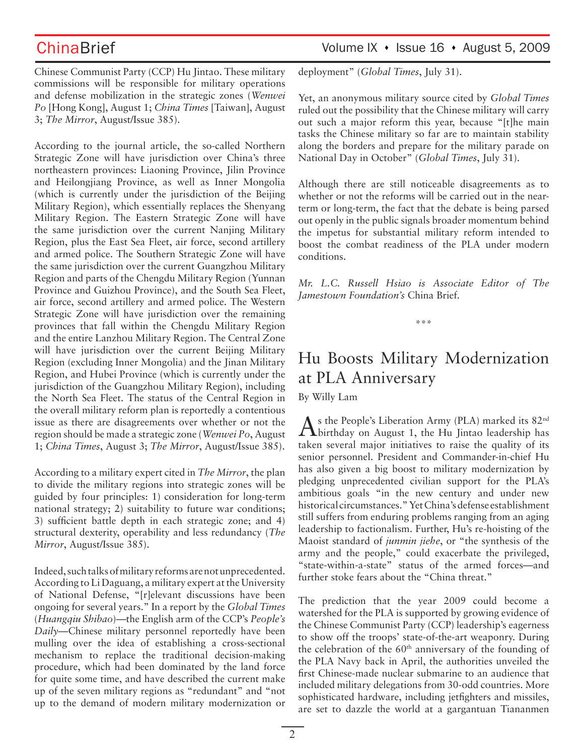Chinese Communist Party (CCP) Hu Jintao. These military commissions will be responsible for military operations and defense mobilization in the strategic zones (*Wenwei Po* [Hong Kong], August 1; *China Times* [Taiwan], August 3; *The Mirror*, August/Issue 385).

According to the journal article, the so-called Northern Strategic Zone will have jurisdiction over China's three northeastern provinces: Liaoning Province, Jilin Province and Heilongjiang Province, as well as Inner Mongolia (which is currently under the jurisdiction of the Beijing Military Region), which essentially replaces the Shenyang Military Region. The Eastern Strategic Zone will have the same jurisdiction over the current Nanjing Military Region, plus the East Sea Fleet, air force, second artillery and armed police. The Southern Strategic Zone will have the same jurisdiction over the current Guangzhou Military Region and parts of the Chengdu Military Region (Yunnan Province and Guizhou Province), and the South Sea Fleet, air force, second artillery and armed police. The Western Strategic Zone will have jurisdiction over the remaining provinces that fall within the Chengdu Military Region and the entire Lanzhou Military Region. The Central Zone will have jurisdiction over the current Beijing Military Region (excluding Inner Mongolia) and the Jinan Military Region, and Hubei Province (which is currently under the jurisdiction of the Guangzhou Military Region), including the North Sea Fleet. The status of the Central Region in the overall military reform plan is reportedly a contentious issue as there are disagreements over whether or not the region should be made a strategic zone (*Wenwei Po*, August 1; *China Times*, August 3; *The Mirror*, August/Issue 385).

According to a military expert cited in *The Mirror*, the plan to divide the military regions into strategic zones will be guided by four principles: 1) consideration for long-term national strategy; 2) suitability to future war conditions; 3) sufficient battle depth in each strategic zone; and 4) structural dexterity, operability and less redundancy (*The Mirror*, August/Issue 385).

Indeed, such talks of military reforms are not unprecedented. According to Li Daguang, a military expert at the University of National Defense, "[r]elevant discussions have been ongoing for several years." In a report by the *Global Times* (*Huangqiu Shibao*)—the English arm of the CCP's *People's Daily*—Chinese military personnel reportedly have been mulling over the idea of establishing a cross-sectional mechanism to replace the traditional decision-making procedure, which had been dominated by the land force for quite some time, and have described the current make up of the seven military regions as "redundant" and "not up to the demand of modern military modernization or

## ChinaBrief Volume IX • Issue 16 • August 5, 2009

deployment" (*Global Times*, July 31).

Yet, an anonymous military source cited by *Global Times* ruled out the possibility that the Chinese military will carry out such a major reform this year, because "[t]he main tasks the Chinese military so far are to maintain stability along the borders and prepare for the military parade on National Day in October" (*Global Times*, July 31).

Although there are still noticeable disagreements as to whether or not the reforms will be carried out in the nearterm or long-term, the fact that the debate is being parsed out openly in the public signals broader momentum behind the impetus for substantial military reform intended to boost the combat readiness of the PLA under modern conditions.

*Mr. L.C. Russell Hsiao is Associate Editor of The Jamestown Foundation's* China Brief*.*

\*\*\*

# Hu Boosts Military Modernization at PLA Anniversary

By Willy Lam

As the People's Liberation Army (PLA) marked its 82<sup>nd</sup><br>Abirthday on August 1, the Hu Jintao leadership has taken several major initiatives to raise the quality of its senior personnel. President and Commander-in-chief Hu has also given a big boost to military modernization by pledging unprecedented civilian support for the PLA's ambitious goals "in the new century and under new historical circumstances." Yet China's defense establishment still suffers from enduring problems ranging from an aging leadership to factionalism. Further, Hu's re-hoisting of the Maoist standard of *junmin jiehe*, or "the synthesis of the army and the people," could exacerbate the privileged, "state-within-a-state" status of the armed forces—and further stoke fears about the "China threat."

The prediction that the year 2009 could become a watershed for the PLA is supported by growing evidence of the Chinese Communist Party (CCP) leadership's eagerness to show off the troops' state-of-the-art weaponry. During the celebration of the  $60<sup>th</sup>$  anniversary of the founding of the PLA Navy back in April, the authorities unveiled the first Chinese-made nuclear submarine to an audience that included military delegations from 30-odd countries. More sophisticated hardware, including jetfighters and missiles, are set to dazzle the world at a gargantuan Tiananmen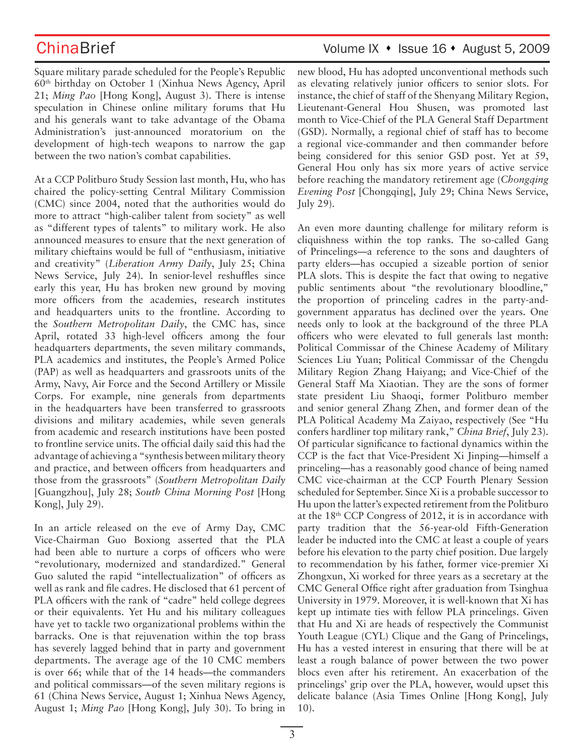ChinaBrief Volume IX • Issue 16 • August 5, 2009

Square military parade scheduled for the People's Republic 60th birthday on October 1 (Xinhua News Agency, April 21; *Ming Pao* [Hong Kong], August 3). There is intense speculation in Chinese online military forums that Hu and his generals want to take advantage of the Obama Administration's just-announced moratorium on the development of high-tech weapons to narrow the gap between the two nation's combat capabilities.

At a CCP Politburo Study Session last month, Hu, who has chaired the policy-setting Central Military Commission (CMC) since 2004, noted that the authorities would do more to attract "high-caliber talent from society" as well as "different types of talents" to military work. He also announced measures to ensure that the next generation of military chieftains would be full of "enthusiasm, initiative and creativity" (*Liberation Army Daily*, July 25; China News Service, July 24). In senior-level reshuffles since early this year, Hu has broken new ground by moving more officers from the academies, research institutes and headquarters units to the frontline. According to the *Southern Metropolitan Daily*, the CMC has, since April, rotated 33 high-level officers among the four headquarters departments, the seven military commands, PLA academics and institutes, the People's Armed Police (PAP) as well as headquarters and grassroots units of the Army, Navy, Air Force and the Second Artillery or Missile Corps. For example, nine generals from departments in the headquarters have been transferred to grassroots divisions and military academies, while seven generals from academic and research institutions have been posted to frontline service units. The official daily said this had the advantage of achieving a "synthesis between military theory and practice, and between officers from headquarters and those from the grassroots" (*Southern Metropolitan Daily* [Guangzhou], July 28; *South China Morning Post* [Hong Kong], July 29).

In an article released on the eve of Army Day, CMC Vice-Chairman Guo Boxiong asserted that the PLA had been able to nurture a corps of officers who were "revolutionary, modernized and standardized." General Guo saluted the rapid "intellectualization" of officers as well as rank and file cadres. He disclosed that 61 percent of PLA officers with the rank of "cadre" held college degrees or their equivalents. Yet Hu and his military colleagues have yet to tackle two organizational problems within the barracks. One is that rejuvenation within the top brass has severely lagged behind that in party and government departments. The average age of the 10 CMC members is over 66; while that of the 14 heads—the commanders and political commissars—of the seven military regions is 61 (China News Service, August 1; Xinhua News Agency, August 1; *Ming Pao* [Hong Kong], July 30). To bring in

new blood, Hu has adopted unconventional methods such as elevating relatively junior officers to senior slots. For instance, the chief of staff of the Shenyang Military Region, Lieutenant-General Hou Shusen, was promoted last month to Vice-Chief of the PLA General Staff Department (GSD). Normally, a regional chief of staff has to become a regional vice-commander and then commander before being considered for this senior GSD post. Yet at 59, General Hou only has six more years of active service before reaching the mandatory retirement age (*Chongqing Evening Post* [Chongqing], July 29; China News Service, July 29).

An even more daunting challenge for military reform is cliquishness within the top ranks. The so-called Gang of Princelings—a reference to the sons and daughters of party elders—has occupied a sizeable portion of senior PLA slots. This is despite the fact that owing to negative public sentiments about "the revolutionary bloodline," the proportion of princeling cadres in the party-andgovernment apparatus has declined over the years. One needs only to look at the background of the three PLA officers who were elevated to full generals last month: Political Commissar of the Chinese Academy of Military Sciences Liu Yuan; Political Commissar of the Chengdu Military Region Zhang Haiyang; and Vice-Chief of the General Staff Ma Xiaotian. They are the sons of former state president Liu Shaoqi, former Politburo member and senior general Zhang Zhen, and former dean of the PLA Political Academy Ma Zaiyao, respectively (See "Hu confers hardliner top military rank," *China Brief*, July 23). Of particular significance to factional dynamics within the CCP is the fact that Vice-President Xi Jinping—himself a princeling—has a reasonably good chance of being named CMC vice-chairman at the CCP Fourth Plenary Session scheduled for September. Since Xi is a probable successor to Hu upon the latter's expected retirement from the Politburo at the 18th CCP Congress of 2012, it is in accordance with party tradition that the 56-year-old Fifth-Generation leader be inducted into the CMC at least a couple of years before his elevation to the party chief position. Due largely to recommendation by his father, former vice-premier Xi Zhongxun, Xi worked for three years as a secretary at the CMC General Office right after graduation from Tsinghua University in 1979. Moreover, it is well-known that Xi has kept up intimate ties with fellow PLA princelings. Given that Hu and Xi are heads of respectively the Communist Youth League (CYL) Clique and the Gang of Princelings, Hu has a vested interest in ensuring that there will be at least a rough balance of power between the two power blocs even after his retirement. An exacerbation of the princelings' grip over the PLA, however, would upset this delicate balance (Asia Times Online [Hong Kong], July 10).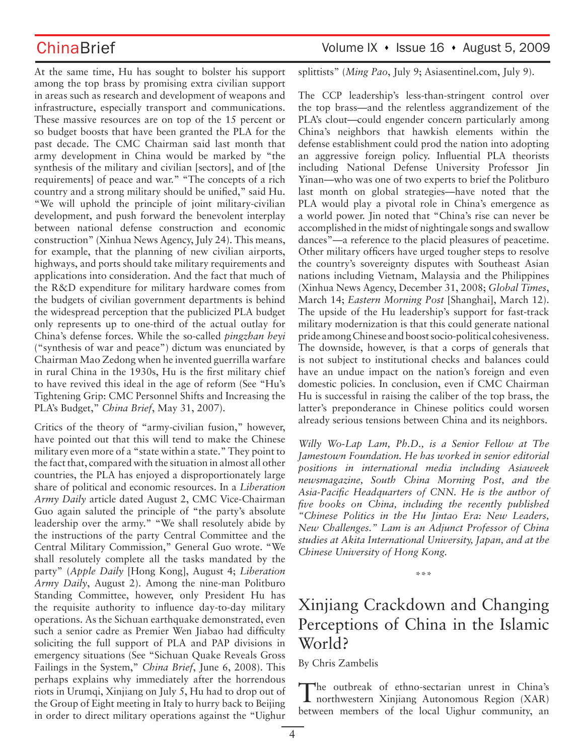At the same time, Hu has sought to bolster his support among the top brass by promising extra civilian support in areas such as research and development of weapons and infrastructure, especially transport and communications. These massive resources are on top of the 15 percent or so budget boosts that have been granted the PLA for the past decade. The CMC Chairman said last month that army development in China would be marked by "the synthesis of the military and civilian [sectors], and of [the requirements] of peace and war." "The concepts of a rich country and a strong military should be unified," said Hu. "We will uphold the principle of joint military-civilian development, and push forward the benevolent interplay between national defense construction and economic construction" (Xinhua News Agency, July 24). This means, for example, that the planning of new civilian airports, highways, and ports should take military requirements and applications into consideration. And the fact that much of the R&D expenditure for military hardware comes from the budgets of civilian government departments is behind the widespread perception that the publicized PLA budget only represents up to one-third of the actual outlay for China's defense forces. While the so-called *pingzhan heyi* ("synthesis of war and peace") dictum was enunciated by Chairman Mao Zedong when he invented guerrilla warfare in rural China in the 1930s, Hu is the first military chief to have revived this ideal in the age of reform (See "Hu's Tightening Grip: CMC Personnel Shifts and Increasing the PLA's Budget," *China Brief*, May 31, 2007).

Critics of the theory of "army-civilian fusion," however, have pointed out that this will tend to make the Chinese military even more of a "state within a state." They point to the fact that, compared with the situation in almost all other countries, the PLA has enjoyed a disproportionately large share of political and economic resources. In a *Liberation Army Daily* article dated August 2, CMC Vice-Chairman Guo again saluted the principle of "the party's absolute leadership over the army." "We shall resolutely abide by the instructions of the party Central Committee and the Central Military Commission," General Guo wrote. "We shall resolutely complete all the tasks mandated by the party" (*Apple Daily* [Hong Kong], August 4; *Liberation Army Daily*, August 2). Among the nine-man Politburo Standing Committee, however, only President Hu has the requisite authority to influence day-to-day military operations. As the Sichuan earthquake demonstrated, even such a senior cadre as Premier Wen Jiabao had difficulty soliciting the full support of PLA and PAP divisions in emergency situations (See "Sichuan Quake Reveals Gross Failings in the System," *China Brief*, June 6, 2008). This perhaps explains why immediately after the horrendous riots in Urumqi, Xinjiang on July 5, Hu had to drop out of the Group of Eight meeting in Italy to hurry back to Beijing in order to direct military operations against the "Uighur

## ChinaBrief Volume IX • Issue 16 • August 5, 2009

splittists" (*Ming Pao*, July 9; Asiasentinel.com, July 9).

The CCP leadership's less-than-stringent control over the top brass—and the relentless aggrandizement of the PLA's clout—could engender concern particularly among China's neighbors that hawkish elements within the defense establishment could prod the nation into adopting an aggressive foreign policy. Influential PLA theorists including National Defense University Professor Jin Yinan—who was one of two experts to brief the Politburo last month on global strategies—have noted that the PLA would play a pivotal role in China's emergence as a world power. Jin noted that "China's rise can never be accomplished in the midst of nightingale songs and swallow dances"—a reference to the placid pleasures of peacetime. Other military officers have urged tougher steps to resolve the country's sovereignty disputes with Southeast Asian nations including Vietnam, Malaysia and the Philippines (Xinhua News Agency, December 31, 2008; *Global Times*, March 14; *Eastern Morning Post* [Shanghai], March 12). The upside of the Hu leadership's support for fast-track military modernization is that this could generate national pride among Chinese and boost socio-political cohesiveness. The downside, however, is that a corps of generals that is not subject to institutional checks and balances could have an undue impact on the nation's foreign and even domestic policies. In conclusion, even if CMC Chairman Hu is successful in raising the caliber of the top brass, the latter's preponderance in Chinese politics could worsen already serious tensions between China and its neighbors.

*Willy Wo-Lap Lam, Ph.D., is a Senior Fellow at The Jamestown Foundation. He has worked in senior editorial positions in international media including Asiaweek newsmagazine, South China Morning Post, and the Asia-Pacific Headquarters of CNN. He is the author of five books on China, including the recently published "Chinese Politics in the Hu Jintao Era: New Leaders, New Challenges." Lam is an Adjunct Professor of China studies at Akita International University, Japan, and at the Chinese University of Hong Kong.* 

\*\*\*

# Xinjiang Crackdown and Changing Perceptions of China in the Islamic World?

By Chris Zambelis

The outbreak of ethno-sectarian unrest in China's northwestern Xinjiang Autonomous Region (XAR) between members of the local Uighur community, an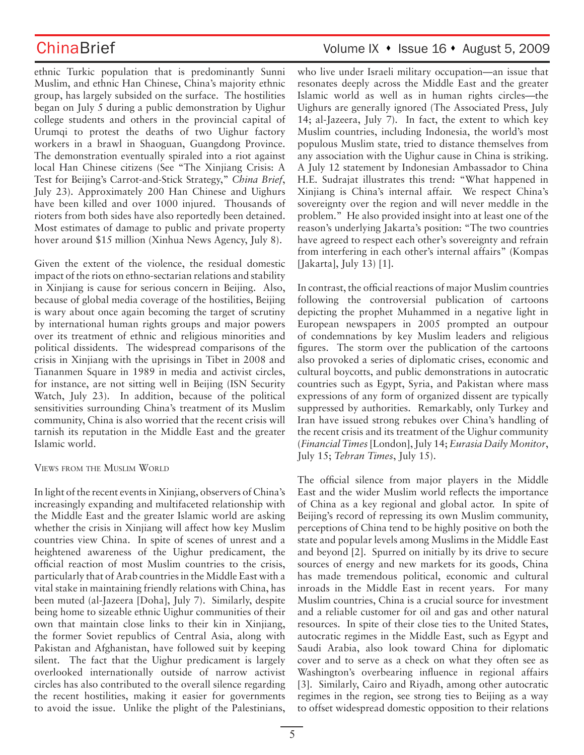ethnic Turkic population that is predominantly Sunni Muslim, and ethnic Han Chinese, China's majority ethnic group, has largely subsided on the surface. The hostilities began on July 5 during a public demonstration by Uighur college students and others in the provincial capital of Urumqi to protest the deaths of two Uighur factory workers in a brawl in Shaoguan, Guangdong Province. The demonstration eventually spiraled into a riot against local Han Chinese citizens (See "The Xinjiang Crisis: A Test for Beijing's Carrot-and-Stick Strategy," *China Brief*, July 23). Approximately 200 Han Chinese and Uighurs have been killed and over 1000 injured. Thousands of rioters from both sides have also reportedly been detained. Most estimates of damage to public and private property hover around \$15 million (Xinhua News Agency, July 8).

Given the extent of the violence, the residual domestic impact of the riots on ethno-sectarian relations and stability in Xinjiang is cause for serious concern in Beijing. Also, because of global media coverage of the hostilities, Beijing is wary about once again becoming the target of scrutiny by international human rights groups and major powers over its treatment of ethnic and religious minorities and political dissidents. The widespread comparisons of the crisis in Xinjiang with the uprisings in Tibet in 2008 and Tiananmen Square in 1989 in media and activist circles, for instance, are not sitting well in Beijing (ISN Security Watch, July 23). In addition, because of the political sensitivities surrounding China's treatment of its Muslim community, China is also worried that the recent crisis will tarnish its reputation in the Middle East and the greater Islamic world.

### VIEWS FROM THE MUSLIM WORLD

In light of the recent events in Xinjiang, observers of China's increasingly expanding and multifaceted relationship with the Middle East and the greater Islamic world are asking whether the crisis in Xinjiang will affect how key Muslim countries view China. In spite of scenes of unrest and a heightened awareness of the Uighur predicament, the official reaction of most Muslim countries to the crisis, particularly that of Arab countries in the Middle East with a vital stake in maintaining friendly relations with China, has been muted (al-Jazeera [Doha], July 7). Similarly, despite being home to sizeable ethnic Uighur communities of their own that maintain close links to their kin in Xinjiang, the former Soviet republics of Central Asia, along with Pakistan and Afghanistan, have followed suit by keeping silent. The fact that the Uighur predicament is largely overlooked internationally outside of narrow activist circles has also contributed to the overall silence regarding the recent hostilities, making it easier for governments to avoid the issue. Unlike the plight of the Palestinians,

## ChinaBrief Volume IX • Issue 16 • August 5, 2009

who live under Israeli military occupation—an issue that resonates deeply across the Middle East and the greater Islamic world as well as in human rights circles—the Uighurs are generally ignored (The Associated Press, July 14; al-Jazeera, July 7). In fact, the extent to which key Muslim countries, including Indonesia, the world's most populous Muslim state, tried to distance themselves from any association with the Uighur cause in China is striking. A July 12 statement by Indonesian Ambassador to China H.E. Sudrajat illustrates this trend: "What happened in Xinjiang is China's internal affair. We respect China's sovereignty over the region and will never meddle in the problem." He also provided insight into at least one of the reason's underlying Jakarta's position: "The two countries have agreed to respect each other's sovereignty and refrain from interfering in each other's internal affairs" (Kompas [Jakarta], July 13) [1].

In contrast, the official reactions of major Muslim countries following the controversial publication of cartoons depicting the prophet Muhammed in a negative light in European newspapers in 2005 prompted an outpour of condemnations by key Muslim leaders and religious figures. The storm over the publication of the cartoons also provoked a series of diplomatic crises, economic and cultural boycotts, and public demonstrations in autocratic countries such as Egypt, Syria, and Pakistan where mass expressions of any form of organized dissent are typically suppressed by authorities. Remarkably, only Turkey and Iran have issued strong rebukes over China's handling of the recent crisis and its treatment of the Uighur community (*Financial Times* [London], July 14; *Eurasia Daily Monitor*, July 15; *Tehran Times*, July 15).

The official silence from major players in the Middle East and the wider Muslim world reflects the importance of China as a key regional and global actor. In spite of Beijing's record of repressing its own Muslim community, perceptions of China tend to be highly positive on both the state and popular levels among Muslims in the Middle East and beyond [2]. Spurred on initially by its drive to secure sources of energy and new markets for its goods, China has made tremendous political, economic and cultural inroads in the Middle East in recent years. For many Muslim countries, China is a crucial source for investment and a reliable customer for oil and gas and other natural resources. In spite of their close ties to the United States, autocratic regimes in the Middle East, such as Egypt and Saudi Arabia, also look toward China for diplomatic cover and to serve as a check on what they often see as Washington's overbearing influence in regional affairs [3]. Similarly, Cairo and Riyadh, among other autocratic regimes in the region, see strong ties to Beijing as a way to offset widespread domestic opposition to their relations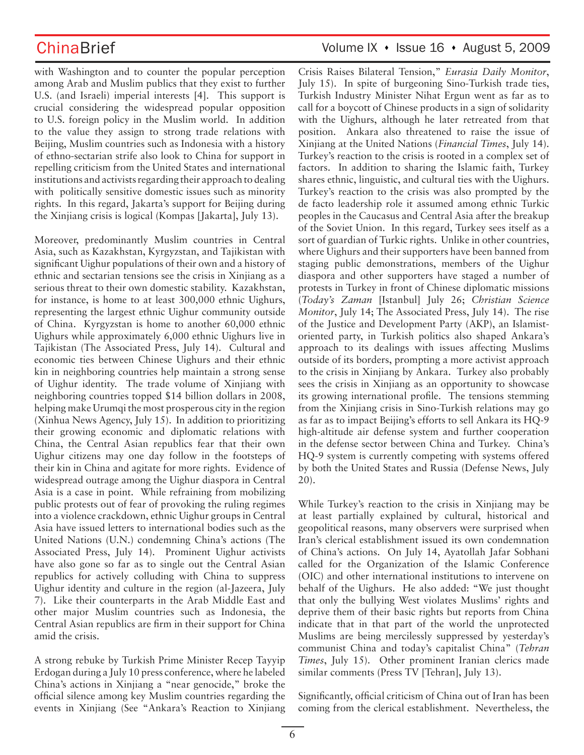with Washington and to counter the popular perception among Arab and Muslim publics that they exist to further U.S. (and Israeli) imperial interests [4]. This support is crucial considering the widespread popular opposition to U.S. foreign policy in the Muslim world. In addition to the value they assign to strong trade relations with Beijing, Muslim countries such as Indonesia with a history of ethno-sectarian strife also look to China for support in repelling criticism from the United States and international institutions and activists regarding their approach to dealing with politically sensitive domestic issues such as minority rights. In this regard, Jakarta's support for Beijing during the Xinjiang crisis is logical (Kompas [Jakarta], July 13).

Moreover, predominantly Muslim countries in Central Asia, such as Kazakhstan, Kyrgyzstan, and Tajikistan with significant Uighur populations of their own and a history of ethnic and sectarian tensions see the crisis in Xinjiang as a serious threat to their own domestic stability. Kazakhstan, for instance, is home to at least 300,000 ethnic Uighurs, representing the largest ethnic Uighur community outside of China. Kyrgyzstan is home to another 60,000 ethnic Uighurs while approximately 6,000 ethnic Uighurs live in Tajikistan (The Associated Press, July 14). Cultural and economic ties between Chinese Uighurs and their ethnic kin in neighboring countries help maintain a strong sense of Uighur identity. The trade volume of Xinjiang with neighboring countries topped \$14 billion dollars in 2008, helping make Urumqi the most prosperous city in the region (Xinhua News Agency, July 15). In addition to prioritizing their growing economic and diplomatic relations with China, the Central Asian republics fear that their own Uighur citizens may one day follow in the footsteps of their kin in China and agitate for more rights. Evidence of widespread outrage among the Uighur diaspora in Central Asia is a case in point. While refraining from mobilizing public protests out of fear of provoking the ruling regimes into a violence crackdown, ethnic Uighur groups in Central Asia have issued letters to international bodies such as the United Nations (U.N.) condemning China's actions (The Associated Press, July 14). Prominent Uighur activists have also gone so far as to single out the Central Asian republics for actively colluding with China to suppress Uighur identity and culture in the region (al-Jazeera, July 7). Like their counterparts in the Arab Middle East and other major Muslim countries such as Indonesia, the Central Asian republics are firm in their support for China amid the crisis.

A strong rebuke by Turkish Prime Minister Recep Tayyip Erdogan during a July 10 press conference, where he labeled China's actions in Xinjiang a "near genocide," broke the official silence among key Muslim countries regarding the events in Xinjiang (See "Ankara's Reaction to Xinjiang Crisis Raises Bilateral Tension," *Eurasia Daily Monitor*, July 15). In spite of burgeoning Sino-Turkish trade ties, Turkish Industry Minister Nihat Ergun went as far as to call for a boycott of Chinese products in a sign of solidarity with the Uighurs, although he later retreated from that position. Ankara also threatened to raise the issue of Xinjiang at the United Nations (*Financial Times*, July 14). Turkey's reaction to the crisis is rooted in a complex set of factors. In addition to sharing the Islamic faith, Turkey shares ethnic, linguistic, and cultural ties with the Uighurs. Turkey's reaction to the crisis was also prompted by the de facto leadership role it assumed among ethnic Turkic peoples in the Caucasus and Central Asia after the breakup of the Soviet Union. In this regard, Turkey sees itself as a sort of guardian of Turkic rights. Unlike in other countries, where Uighurs and their supporters have been banned from staging public demonstrations, members of the Uighur diaspora and other supporters have staged a number of protests in Turkey in front of Chinese diplomatic missions (*Today's Zaman* [Istanbul] July 26; *Christian Science Monitor*, July 14; The Associated Press, July 14). The rise of the Justice and Development Party (AKP), an Islamistoriented party, in Turkish politics also shaped Ankara's approach to its dealings with issues affecting Muslims outside of its borders, prompting a more activist approach to the crisis in Xinjiang by Ankara. Turkey also probably sees the crisis in Xinjiang as an opportunity to showcase its growing international profile. The tensions stemming from the Xinjiang crisis in Sino-Turkish relations may go as far as to impact Beijing's efforts to sell Ankara its HQ-9 high-altitude air defense system and further cooperation in the defense sector between China and Turkey. China's HQ-9 system is currently competing with systems offered by both the United States and Russia (Defense News, July 20).

While Turkey's reaction to the crisis in Xinjiang may be at least partially explained by cultural, historical and geopolitical reasons, many observers were surprised when Iran's clerical establishment issued its own condemnation of China's actions. On July 14, Ayatollah Jafar Sobhani called for the Organization of the Islamic Conference (OIC) and other international institutions to intervene on behalf of the Uighurs. He also added: "We just thought that only the bullying West violates Muslims' rights and deprive them of their basic rights but reports from China indicate that in that part of the world the unprotected Muslims are being mercilessly suppressed by yesterday's communist China and today's capitalist China" (*Tehran Times*, July 15). Other prominent Iranian clerics made similar comments (Press TV [Tehran], July 13).

Significantly, official criticism of China out of Iran has been coming from the clerical establishment. Nevertheless, the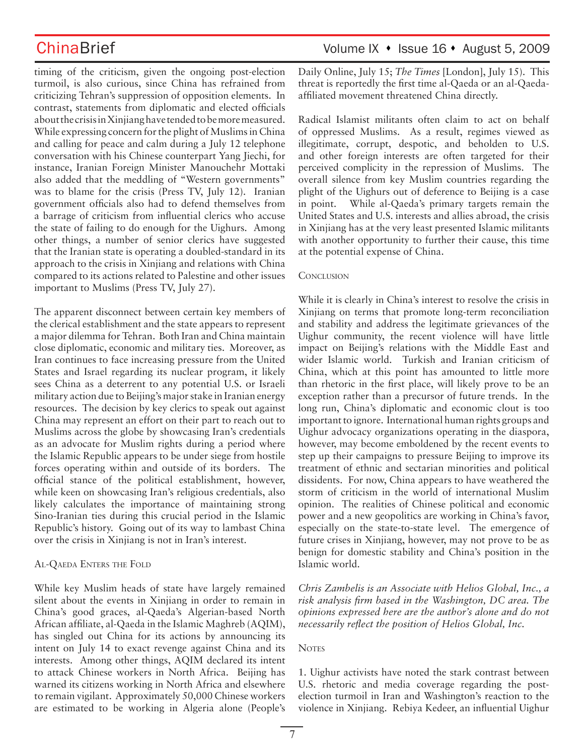timing of the criticism, given the ongoing post-election turmoil, is also curious, since China has refrained from criticizing Tehran's suppression of opposition elements. In contrast, statements from diplomatic and elected officials about the crisis in Xinjiang have tended to be more measured. While expressing concern for the plight of Muslims in China and calling for peace and calm during a July 12 telephone conversation with his Chinese counterpart Yang Jiechi, for instance, Iranian Foreign Minister Manouchehr Mottaki also added that the meddling of "Western governments" was to blame for the crisis (Press TV, July 12). Iranian government officials also had to defend themselves from a barrage of criticism from influential clerics who accuse the state of failing to do enough for the Uighurs. Among other things, a number of senior clerics have suggested that the Iranian state is operating a doubled-standard in its approach to the crisis in Xinjiang and relations with China compared to its actions related to Palestine and other issues important to Muslims (Press TV, July 27).

The apparent disconnect between certain key members of the clerical establishment and the state appears to represent a major dilemma for Tehran. Both Iran and China maintain close diplomatic, economic and military ties. Moreover, as Iran continues to face increasing pressure from the United States and Israel regarding its nuclear program, it likely sees China as a deterrent to any potential U.S. or Israeli military action due to Beijing's major stake in Iranian energy resources. The decision by key clerics to speak out against China may represent an effort on their part to reach out to Muslims across the globe by showcasing Iran's credentials as an advocate for Muslim rights during a period where the Islamic Republic appears to be under siege from hostile forces operating within and outside of its borders. The official stance of the political establishment, however, while keen on showcasing Iran's religious credentials, also likely calculates the importance of maintaining strong Sino-Iranian ties during this crucial period in the Islamic Republic's history. Going out of its way to lambast China over the crisis in Xinjiang is not in Iran's interest.

### AL-QAEDA ENTERS THE FOLD

While key Muslim heads of state have largely remained silent about the events in Xinjiang in order to remain in China's good graces, al-Qaeda's Algerian-based North African affiliate, al-Qaeda in the Islamic Maghreb (AQIM), has singled out China for its actions by announcing its intent on July 14 to exact revenge against China and its interests. Among other things, AQIM declared its intent to attack Chinese workers in North Africa. Beijing has warned its citizens working in North Africa and elsewhere to remain vigilant. Approximately 50,000 Chinese workers are estimated to be working in Algeria alone (People's Daily Online, July 15; *The Times* [London], July 15). This threat is reportedly the first time al-Qaeda or an al-Qaedaaffiliated movement threatened China directly.

Radical Islamist militants often claim to act on behalf of oppressed Muslims. As a result, regimes viewed as illegitimate, corrupt, despotic, and beholden to U.S. and other foreign interests are often targeted for their perceived complicity in the repression of Muslims. The overall silence from key Muslim countries regarding the plight of the Uighurs out of deference to Beijing is a case in point. While al-Qaeda's primary targets remain the United States and U.S. interests and allies abroad, the crisis in Xinjiang has at the very least presented Islamic militants with another opportunity to further their cause, this time at the potential expense of China.

### **CONCLUSION**

While it is clearly in China's interest to resolve the crisis in Xinjiang on terms that promote long-term reconciliation and stability and address the legitimate grievances of the Uighur community, the recent violence will have little impact on Beijing's relations with the Middle East and wider Islamic world. Turkish and Iranian criticism of China, which at this point has amounted to little more than rhetoric in the first place, will likely prove to be an exception rather than a precursor of future trends. In the long run, China's diplomatic and economic clout is too important to ignore. International human rights groups and Uighur advocacy organizations operating in the diaspora, however, may become emboldened by the recent events to step up their campaigns to pressure Beijing to improve its treatment of ethnic and sectarian minorities and political dissidents. For now, China appears to have weathered the storm of criticism in the world of international Muslim opinion. The realities of Chinese political and economic power and a new geopolitics are working in China's favor, especially on the state-to-state level. The emergence of future crises in Xinjiang, however, may not prove to be as benign for domestic stability and China's position in the Islamic world.

*Chris Zambelis is an Associate with Helios Global, Inc., a risk analysis firm based in the Washington, DC area. The opinions expressed here are the author's alone and do not necessarily reflect the position of Helios Global, Inc.*

### **NOTES**

1. Uighur activists have noted the stark contrast between U.S. rhetoric and media coverage regarding the postelection turmoil in Iran and Washington's reaction to the violence in Xinjiang. Rebiya Kedeer, an influential Uighur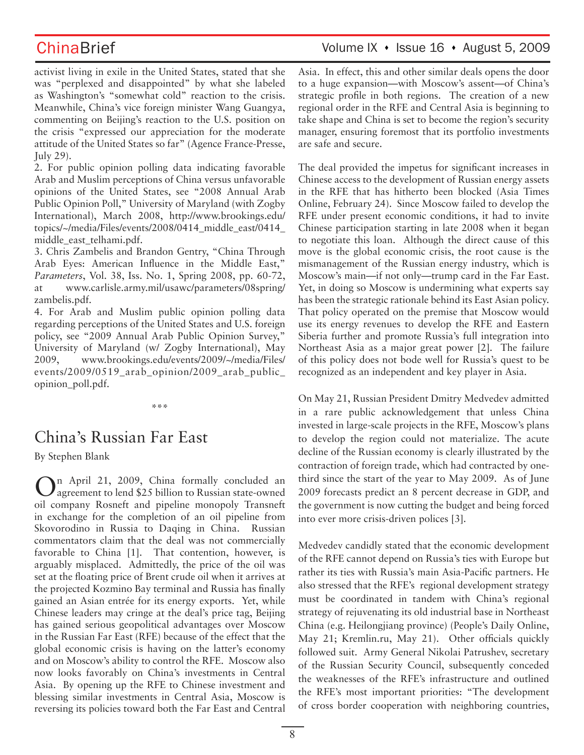## ChinaBrief Volume IX • Issue 16 • August 5, 2009

activist living in exile in the United States, stated that she was "perplexed and disappointed" by what she labeled as Washington's "somewhat cold" reaction to the crisis. Meanwhile, China's vice foreign minister Wang Guangya, commenting on Beijing's reaction to the U.S. position on the crisis "expressed our appreciation for the moderate attitude of the United States so far" (Agence France-Presse, July 29).

2. For public opinion polling data indicating favorable Arab and Muslim perceptions of China versus unfavorable opinions of the United States, see "2008 Annual Arab Public Opinion Poll," University of Maryland (with Zogby International), March 2008, http://www.brookings.edu/ topics/~/media/Files/events/2008/0414\_middle\_east/0414\_ middle\_east\_telhami.pdf.

3. Chris Zambelis and Brandon Gentry, "China Through Arab Eyes: American Influence in the Middle East," *Parameters*, Vol. 38, Iss. No. 1, Spring 2008, pp. 60-72, at www.carlisle.army.mil/usawc/parameters/08spring/ zambelis.pdf.

4. For Arab and Muslim public opinion polling data regarding perceptions of the United States and U.S. foreign policy, see "2009 Annual Arab Public Opinion Survey," University of Maryland (w/ Zogby International), May 2009, www.brookings.edu/events/2009/~/media/Files/ events/2009/0519\_arab\_opinion/2009\_arab\_public\_ opinion\_poll.pdf.

### **\*\*\***

# China's Russian Far East

By Stephen Blank

In April 21, 2009, China formally concluded an agreement to lend \$25 billion to Russian state-owned oil company Rosneft and pipeline monopoly Transneft in exchange for the completion of an oil pipeline from Skovorodino in Russia to Daqing in China. Russian commentators claim that the deal was not commercially favorable to China [1]. That contention, however, is arguably misplaced. Admittedly, the price of the oil was set at the floating price of Brent crude oil when it arrives at the projected Kozmino Bay terminal and Russia has finally gained an Asian entrée for its energy exports. Yet, while Chinese leaders may cringe at the deal's price tag, Beijing has gained serious geopolitical advantages over Moscow in the Russian Far East (RFE) because of the effect that the global economic crisis is having on the latter's economy and on Moscow's ability to control the RFE. Moscow also now looks favorably on China's investments in Central Asia. By opening up the RFE to Chinese investment and blessing similar investments in Central Asia, Moscow is reversing its policies toward both the Far East and Central Asia. In effect, this and other similar deals opens the door to a huge expansion—with Moscow's assent—of China's strategic profile in both regions. The creation of a new regional order in the RFE and Central Asia is beginning to take shape and China is set to become the region's security manager, ensuring foremost that its portfolio investments are safe and secure.

The deal provided the impetus for significant increases in Chinese access to the development of Russian energy assets in the RFE that has hitherto been blocked (Asia Times Online, February 24). Since Moscow failed to develop the RFE under present economic conditions, it had to invite Chinese participation starting in late 2008 when it began to negotiate this loan. Although the direct cause of this move is the global economic crisis, the root cause is the mismanagement of the Russian energy industry, which is Moscow's main—if not only—trump card in the Far East. Yet, in doing so Moscow is undermining what experts say has been the strategic rationale behind its East Asian policy. That policy operated on the premise that Moscow would use its energy revenues to develop the RFE and Eastern Siberia further and promote Russia's full integration into Northeast Asia as a major great power [2]. The failure of this policy does not bode well for Russia's quest to be recognized as an independent and key player in Asia.

On May 21, Russian President Dmitry Medvedev admitted in a rare public acknowledgement that unless China invested in large-scale projects in the RFE, Moscow's plans to develop the region could not materialize. The acute decline of the Russian economy is clearly illustrated by the contraction of foreign trade, which had contracted by onethird since the start of the year to May 2009. As of June 2009 forecasts predict an 8 percent decrease in GDP, and the government is now cutting the budget and being forced into ever more crisis-driven polices [3].

Medvedev candidly stated that the economic development of the RFE cannot depend on Russia's ties with Europe but rather its ties with Russia's main Asia-Pacific partners. He also stressed that the RFE's regional development strategy must be coordinated in tandem with China's regional strategy of rejuvenating its old industrial base in Northeast China (e.g. Heilongjiang province) (People's Daily Online, May 21; Kremlin.ru, May 21). Other officials quickly followed suit. Army General Nikolai Patrushev, secretary of the Russian Security Council, subsequently conceded the weaknesses of the RFE's infrastructure and outlined the RFE's most important priorities: "The development of cross border cooperation with neighboring countries,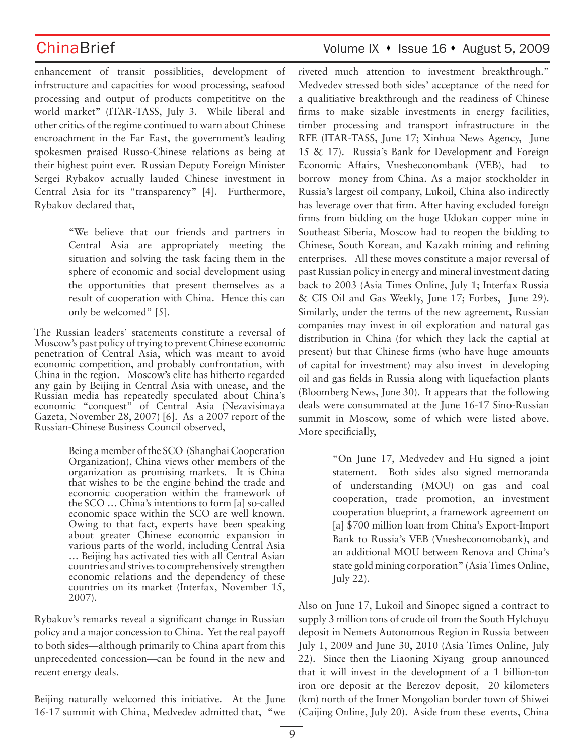enhancement of transit possiblities, development of infrstructure and capacities for wood processing, seafood processing and output of products competititve on the world market" (ITAR-TASS, July 3. While liberal and other critics of the regime continued to warn about Chinese encroachment in the Far East, the government's leading spokesmen praised Russo-Chinese relations as being at their highest point ever. Russian Deputy Foreign Minister Sergei Rybakov actually lauded Chinese investment in Central Asia for its "transparency" [4]. Furthermore, Rybakov declared that,

> "We believe that our friends and partners in Central Asia are appropriately meeting the situation and solving the task facing them in the sphere of economic and social development using the opportunities that present themselves as a result of cooperation with China. Hence this can only be welcomed" [5].

The Russian leaders' statements constitute a reversal of Moscow's past policy of trying to prevent Chinese economic penetration of Central Asia, which was meant to avoid economic competition, and probably confrontation, with China in the region. Moscow's elite has hitherto regarded any gain by Beijing in Central Asia with unease, and the Russian media has repeatedly speculated about China's economic "conquest" of Central Asia (Nezavisimaya Gazeta, November 28, 2007) [6]. As a 2007 report of the Russian-Chinese Business Council observed,

> Being a member of the SCO (Shanghai Cooperation Organization), China views other members of the organization as promising markets. It is China that wishes to be the engine behind the trade and economic cooperation within the framework of the SCO … China's intentions to form [a] so-called economic space within the SCO are well known. Owing to that fact, experts have been speaking about greater Chinese economic expansion in various parts of the world, including Central Asia … Beijing has activated ties with all Central Asian countries and strives to comprehensively strengthen economic relations and the dependency of these countries on its market (Interfax, November 15, 2007).

Rybakov's remarks reveal a significant change in Russian policy and a major concession to China. Yet the real payoff to both sides—although primarily to China apart from this unprecedented concession—can be found in the new and recent energy deals.

Beijing naturally welcomed this initiative. At the June 16-17 summit with China, Medvedev admitted that, "we

## ChinaBrief Volume IX • Issue 16 • August 5, 2009

riveted much attention to investment breakthrough." Medvedev stressed both sides' acceptance of the need for a qualitiative breakthrough and the readiness of Chinese firms to make sizable investments in energy facilities, timber processing and transport infrastructure in the RFE (ITAR-TASS, June 17; Xinhua News Agency, June 15 & 17). Russia's Bank for Development and Foreign Economic Affairs, Vnesheconombank (VEB), had to borrow money from China. As a major stockholder in Russia's largest oil company, Lukoil, China also indirectly has leverage over that firm. After having excluded foreign firms from bidding on the huge Udokan copper mine in Southeast Siberia, Moscow had to reopen the bidding to Chinese, South Korean, and Kazakh mining and refining enterprises. All these moves constitute a major reversal of past Russian policy in energy and mineral investment dating back to 2003 (Asia Times Online, July 1; Interfax Russia & CIS Oil and Gas Weekly, June 17; Forbes, June 29). Similarly, under the terms of the new agreement, Russian companies may invest in oil exploration and natural gas distribution in China (for which they lack the captial at present) but that Chinese firms (who have huge amounts of capital for investment) may also invest in developing oil and gas fields in Russia along with liquefaction plants (Bloomberg News, June 30). It appears that the following deals were consummated at the June 16-17 Sino-Russian summit in Moscow, some of which were listed above. More specificially,

> "On June 17, Medvedev and Hu signed a joint statement. Both sides also signed memoranda of understanding (MOU) on gas and coal cooperation, trade promotion, an investment cooperation blueprint, a framework agreement on [a] \$700 million loan from China's Export-Import Bank to Russia's VEB (Vnesheconomobank), and an additional MOU between Renova and China's state gold mining corporation" (Asia Times Online, July 22).

Also on June 17, Lukoil and Sinopec signed a contract to supply 3 million tons of crude oil from the South Hylchuyu deposit in Nemets Autonomous Region in Russia between July 1, 2009 and June 30, 2010 (Asia Times Online, July 22). Since then the Liaoning Xiyang group announced that it will invest in the development of a 1 billion-ton iron ore deposit at the Berezov deposit, 20 kilometers (km) north of the Inner Mongolian border town of Shiwei (Caijing Online, July 20). Aside from these events, China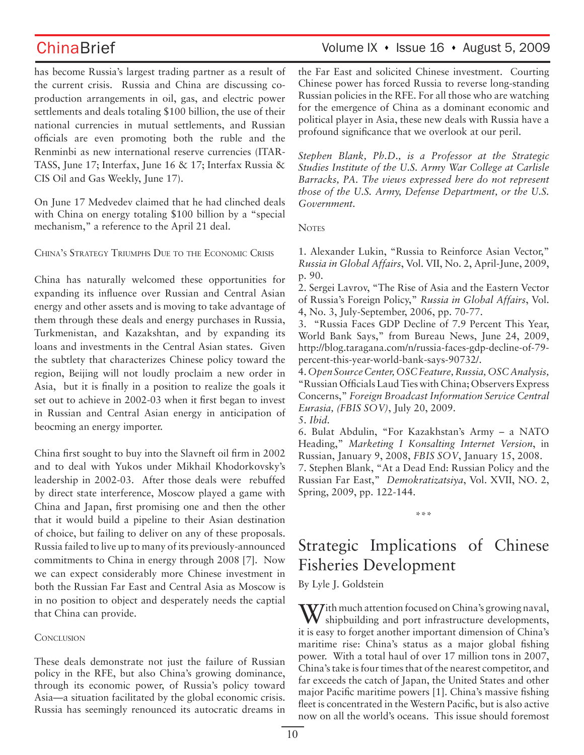has become Russia's largest trading partner as a result of the current crisis. Russia and China are discussing coproduction arrangements in oil, gas, and electric power settlements and deals totaling \$100 billion, the use of their national currencies in mutual settlements, and Russian officials are even promoting both the ruble and the Renminbi as new international reserve currencies (ITAR-TASS, June 17; Interfax, June 16 & 17; Interfax Russia & CIS Oil and Gas Weekly, June 17).

On June 17 Medvedev claimed that he had clinched deals with China on energy totaling \$100 billion by a "special mechanism," a reference to the April 21 deal.

CHINA'S STRATEGY TRIUMPHS DUE TO THE ECONOMIC CRISIS

China has naturally welcomed these opportunities for expanding its influence over Russian and Central Asian energy and other assets and is moving to take advantage of them through these deals and energy purchases in Russia, Turkmenistan, and Kazakshtan, and by expanding its loans and investments in the Central Asian states. Given the subtlety that characterizes Chinese policy toward the region, Beijing will not loudly proclaim a new order in Asia, but it is finally in a position to realize the goals it set out to achieve in 2002-03 when it first began to invest in Russian and Central Asian energy in anticipation of beocming an energy importer.

China first sought to buy into the Slavneft oil firm in 2002 and to deal with Yukos under Mikhail Khodorkovsky's leadership in 2002-03. After those deals were rebuffed by direct state interference, Moscow played a game with China and Japan, first promising one and then the other that it would build a pipeline to their Asian destination of choice, but failing to deliver on any of these proposals. Russia failed to live up to many of its previously-announced commitments to China in energy through 2008 [7]. Now we can expect considerably more Chinese investment in both the Russian Far East and Central Asia as Moscow is in no position to object and desperately needs the captial that China can provide.

### **CONCLUSION**

These deals demonstrate not just the failure of Russian policy in the RFE, but also China's growing dominance, through its economic power, of Russia's policy toward Asia—a situation facilitated by the global economic crisis. Russia has seemingly renounced its autocratic dreams in

## ChinaBrief Volume IX • Issue 16 • August 5, 2009

the Far East and solicited Chinese investment. Courting Chinese power has forced Russia to reverse long-standing Russian policies in the RFE. For all those who are watching for the emergence of China as a dominant economic and political player in Asia, these new deals with Russia have a profound significance that we overlook at our peril.

*Stephen Blank, Ph.D., is a Professor at the Strategic Studies Institute of the U.S. Army War College at Carlisle Barracks, PA. The views expressed here do not represent those of the U.S. Army, Defense Department, or the U.S. Government.*

**NOTES** 

1. Alexander Lukin, "Russia to Reinforce Asian Vector," *Russia in Global Affairs*, Vol. VII, No. 2, April-June, 2009, p. 90.

2. Sergei Lavrov, "The Rise of Asia and the Eastern Vector of Russia's Foreign Policy," *Russia in Global Affairs*, Vol. 4, No. 3, July-September, 2006, pp. 70-77.

3. "Russia Faces GDP Decline of 7.9 Percent This Year, World Bank Says," from Bureau News, June 24, 2009, http://blog.taragana.com/n/russia-faces-gdp-decline-of-79 percent-this-year-world-bank-says-90732/.

4. *Open Source Center, OSC Feature, Russia, OSC Analysis,*  "Russian Officials Laud Ties with China; Observers Express Concerns," *Foreign Broadcast Information Service Central Eurasia, (FBIS SOV)*, July 20, 2009. 5. *Ibid.*

6. Bulat Abdulin, "For Kazakhstan's Army – a NATO Heading," *Marketing I Konsalting Internet Version*, in Russian, January 9, 2008, *FBIS SOV*, January 15, 2008. 7. Stephen Blank, "At a Dead End: Russian Policy and the Russian Far East," *Demokratizatsiya*, Vol. XVII, NO. 2, Spring, 2009, pp. 122-144.

# Strategic Implications of Chinese Fisheries Development

\*\*\*

By Lyle J. Goldstein

With much attention focused on China's growing naval, shipbuilding and port infrastructure developments, it is easy to forget another important dimension of China's maritime rise: China's status as a major global fishing power. With a total haul of over 17 million tons in 2007, China's take is four times that of the nearest competitor, and far exceeds the catch of Japan, the United States and other major Pacific maritime powers [1]. China's massive fishing fleet is concentrated in the Western Pacific, but is also active now on all the world's oceans. This issue should foremost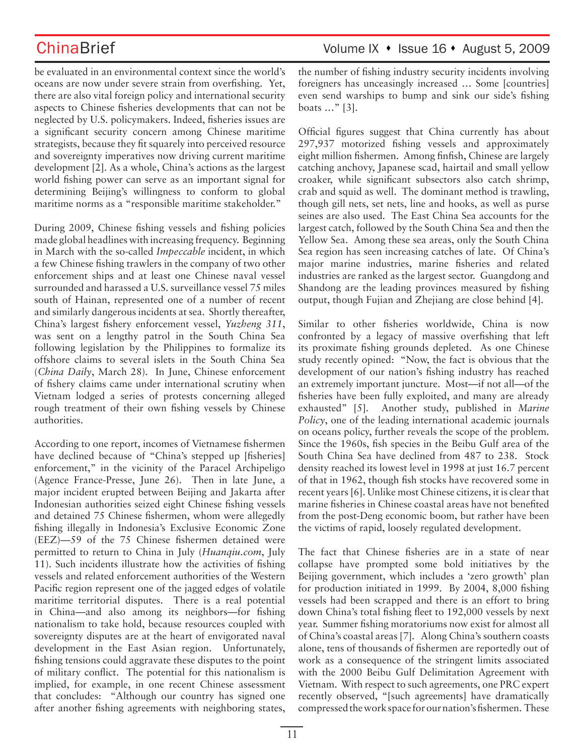be evaluated in an environmental context since the world's oceans are now under severe strain from overfishing. Yet, there are also vital foreign policy and international security aspects to Chinese fisheries developments that can not be neglected by U.S. policymakers. Indeed, fisheries issues are a significant security concern among Chinese maritime strategists, because they fit squarely into perceived resource and sovereignty imperatives now driving current maritime development [2]. As a whole, China's actions as the largest world fishing power can serve as an important signal for determining Beijing's willingness to conform to global maritime norms as a "responsible maritime stakeholder."

During 2009, Chinese fishing vessels and fishing policies made global headlines with increasing frequency. Beginning in March with the so-called *Impeccable* incident, in which a few Chinese fishing trawlers in the company of two other enforcement ships and at least one Chinese naval vessel surrounded and harassed a U.S. surveillance vessel 75 miles south of Hainan, represented one of a number of recent and similarly dangerous incidents at sea. Shortly thereafter, China's largest fishery enforcement vessel, *Yuzheng 311*, was sent on a lengthy patrol in the South China Sea following legislation by the Philippines to formalize its offshore claims to several islets in the South China Sea (*China Daily*, March 28). In June, Chinese enforcement of fishery claims came under international scrutiny when Vietnam lodged a series of protests concerning alleged rough treatment of their own fishing vessels by Chinese authorities.

According to one report, incomes of Vietnamese fishermen have declined because of "China's stepped up [fisheries] enforcement," in the vicinity of the Paracel Archipeligo (Agence France-Presse, June 26). Then in late June, a major incident erupted between Beijing and Jakarta after Indonesian authorities seized eight Chinese fishing vessels and detained 75 Chinese fishermen, whom were allegedly fishing illegally in Indonesia's Exclusive Economic Zone (EEZ)—59 of the 75 Chinese fishermen detained were permitted to return to China in July (*Huanqiu.com*, July 11). Such incidents illustrate how the activities of fishing vessels and related enforcement authorities of the Western Pacific region represent one of the jagged edges of volatile maritime territorial disputes. There is a real potential in China—and also among its neighbors—for fishing nationalism to take hold, because resources coupled with sovereignty disputes are at the heart of envigorated naval development in the East Asian region. Unfortunately, fishing tensions could aggravate these disputes to the point of military conflict. The potential for this nationalism is implied, for example, in one recent Chinese assessment that concludes: "Although our country has signed one after another fishing agreements with neighboring states, the number of fishing industry security incidents involving foreigners has unceasingly increased … Some [countries] even send warships to bump and sink our side's fishing boats …" [3].

Official figures suggest that China currently has about 297,937 motorized fishing vessels and approximately eight million fishermen. Among finfish, Chinese are largely catching anchovy, Japanese scad, hairtail and small yellow croaker, while significant subsectors also catch shrimp, crab and squid as well. The dominant method is trawling, though gill nets, set nets, line and hooks, as well as purse seines are also used. The East China Sea accounts for the largest catch, followed by the South China Sea and then the Yellow Sea. Among these sea areas, only the South China Sea region has seen increasing catches of late. Of China's major marine industries, marine fisheries and related industries are ranked as the largest sector. Guangdong and Shandong are the leading provinces measured by fishing output, though Fujian and Zhejiang are close behind [4].

Similar to other fisheries worldwide, China is now confronted by a legacy of massive overfishing that left its proximate fishing grounds depleted. As one Chinese study recently opined: "Now, the fact is obvious that the development of our nation's fishing industry has reached an extremely important juncture. Most—if not all—of the fisheries have been fully exploited, and many are already exhausted" [5]. Another study, published in *Marine Policy*, one of the leading international academic journals on oceans policy, further reveals the scope of the problem. Since the 1960s, fish species in the Beibu Gulf area of the South China Sea have declined from 487 to 238. Stock density reached its lowest level in 1998 at just 16.7 percent of that in 1962, though fish stocks have recovered some in recent years [6]. Unlike most Chinese citizens, it is clear that marine fisheries in Chinese coastal areas have not benefited from the post-Deng economic boom, but rather have been the victims of rapid, loosely regulated development.

The fact that Chinese fisheries are in a state of near collapse have prompted some bold initiatives by the Beijing government, which includes a 'zero growth' plan for production initiated in 1999. By 2004, 8,000 fishing vessels had been scrapped and there is an effort to bring down China's total fishing fleet to 192,000 vessels by next year. Summer fishing moratoriums now exist for almost all of China's coastal areas [7]. Along China's southern coasts alone, tens of thousands of fishermen are reportedly out of work as a consequence of the stringent limits associated with the 2000 Beibu Gulf Delimitation Agreement with Vietnam. With respect to such agreements, one PRC expert recently observed, "[such agreements] have dramatically compressed the work space for our nation's fishermen. These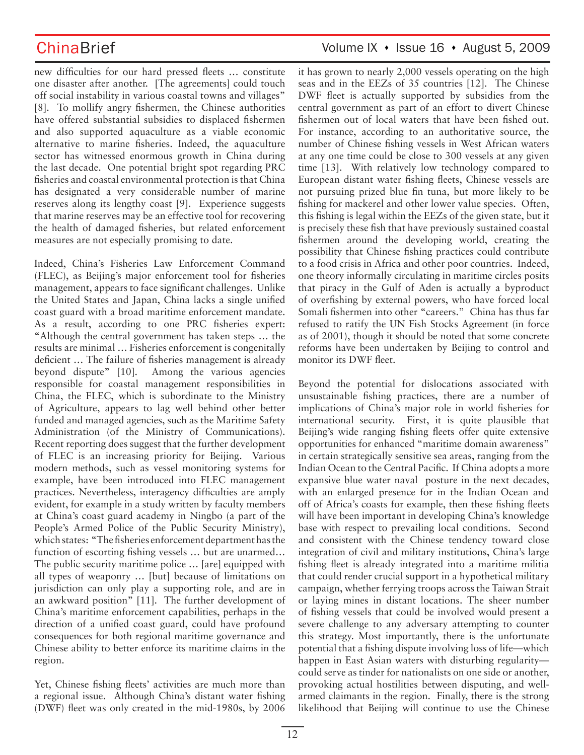new difficulties for our hard pressed fleets … constitute one disaster after another. [The agreements] could touch off social instability in various coastal towns and villages" [8]. To mollify angry fishermen, the Chinese authorities have offered substantial subsidies to displaced fishermen and also supported aquaculture as a viable economic alternative to marine fisheries. Indeed, the aquaculture sector has witnessed enormous growth in China during the last decade. One potential bright spot regarding PRC fisheries and coastal environmental protection is that China has designated a very considerable number of marine reserves along its lengthy coast [9]. Experience suggests that marine reserves may be an effective tool for recovering the health of damaged fisheries, but related enforcement measures are not especially promising to date.

Indeed, China's Fisheries Law Enforcement Command (FLEC), as Beijing's major enforcement tool for fisheries management, appears to face significant challenges. Unlike the United States and Japan, China lacks a single unified coast guard with a broad maritime enforcement mandate. As a result, according to one PRC fisheries expert: "Although the central government has taken steps … the results are minimal … Fisheries enforcement is congenitally deficient … The failure of fisheries management is already beyond dispute" [10]. Among the various agencies responsible for coastal management responsibilities in China, the FLEC, which is subordinate to the Ministry of Agriculture, appears to lag well behind other better funded and managed agencies, such as the Maritime Safety Administration (of the Ministry of Communications). Recent reporting does suggest that the further development of FLEC is an increasing priority for Beijing. Various modern methods, such as vessel monitoring systems for example, have been introduced into FLEC management practices. Nevertheless, interagency difficulties are amply evident, for example in a study written by faculty members at China's coast guard academy in Ningbo (a part of the People's Armed Police of the Public Security Ministry), which states: "The fisheries enforcement department has the function of escorting fishing vessels … but are unarmed… The public security maritime police … [are] equipped with all types of weaponry … [but] because of limitations on jurisdiction can only play a supporting role, and are in an awkward position" [11]. The further development of China's maritime enforcement capabilities, perhaps in the direction of a unified coast guard, could have profound consequences for both regional maritime governance and Chinese ability to better enforce its maritime claims in the region.

Yet, Chinese fishing fleets' activities are much more than a regional issue. Although China's distant water fishing (DWF) fleet was only created in the mid-1980s, by 2006

## ChinaBrief Volume IX • Issue 16 • August 5, 2009

it has grown to nearly 2,000 vessels operating on the high seas and in the EEZs of 35 countries [12]. The Chinese DWF fleet is actually supported by subsidies from the central government as part of an effort to divert Chinese fishermen out of local waters that have been fished out. For instance, according to an authoritative source, the number of Chinese fishing vessels in West African waters at any one time could be close to 300 vessels at any given time [13]. With relatively low technology compared to European distant water fishing fleets, Chinese vessels are not pursuing prized blue fin tuna, but more likely to be fishing for mackerel and other lower value species. Often, this fishing is legal within the EEZs of the given state, but it is precisely these fish that have previously sustained coastal fishermen around the developing world, creating the possibility that Chinese fishing practices could contribute to a food crisis in Africa and other poor countries. Indeed, one theory informally circulating in maritime circles posits that piracy in the Gulf of Aden is actually a byproduct of overfishing by external powers, who have forced local Somali fishermen into other "careers." China has thus far refused to ratify the UN Fish Stocks Agreement (in force as of 2001), though it should be noted that some concrete reforms have been undertaken by Beijing to control and monitor its DWF fleet.

Beyond the potential for dislocations associated with unsustainable fishing practices, there are a number of implications of China's major role in world fisheries for international security. First, it is quite plausible that Beijing's wide ranging fishing fleets offer quite extensive opportunities for enhanced "maritime domain awareness" in certain strategically sensitive sea areas, ranging from the Indian Ocean to the Central Pacific. If China adopts a more expansive blue water naval posture in the next decades, with an enlarged presence for in the Indian Ocean and off of Africa's coasts for example, then these fishing fleets will have been important in developing China's knowledge base with respect to prevailing local conditions. Second and consistent with the Chinese tendency toward close integration of civil and military institutions, China's large fishing fleet is already integrated into a maritime militia that could render crucial support in a hypothetical military campaign, whether ferrying troops across the Taiwan Strait or laying mines in distant locations. The sheer number of fishing vessels that could be involved would present a severe challenge to any adversary attempting to counter this strategy. Most importantly, there is the unfortunate potential that a fishing dispute involving loss of life—which happen in East Asian waters with disturbing regularity could serve as tinder for nationalists on one side or another, provoking actual hostilities between disputing, and wellarmed claimants in the region. Finally, there is the strong likelihood that Beijing will continue to use the Chinese